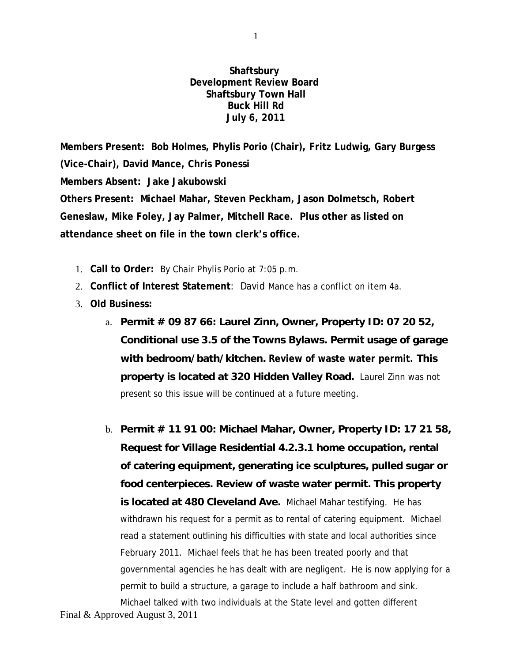**Shaftsbury Development Review Board Shaftsbury Town Hall Buck Hill Rd July 6, 2011**

**Members Present: Bob Holmes, Phylis Porio (Chair), Fritz Ludwig, Gary Burgess (Vice-Chair), David Mance, Chris Ponessi Members Absent: Jake Jakubowski Others Present: Michael Mahar, Steven Peckham, Jason Dolmetsch, Robert Geneslaw, Mike Foley, Jay Palmer, Mitchell Race. Plus other as listed on attendance sheet on file in the town clerk's office.**

- 1. **Call to Order:** By Chair Phylis Porio at 7:05 p.m.
- 2. **Conflict of Interest Statement**: David Mance has a conflict on item 4a.
- 3. **Old Business:**
	- a. **Permit # 09 87 66: Laurel Zinn, Owner, Property ID: 07 20 52, Conditional use 3.5 of the Towns Bylaws. Permit usage of garage with bedroom/bath/kitchen. Review of waste water permit. This property is located at 320 Hidden Valley Road.** Laurel Zinn was not present so this issue will be continued at a future meeting.
	- b. **Permit # 11 91 00: Michael Mahar, Owner, Property ID: 17 21 58, Request for Village Residential 4.2.3.1 home occupation, rental of catering equipment, generating ice sculptures, pulled sugar or food centerpieces. Review of waste water permit. This property is located at 480 Cleveland Ave.** Michael Mahar testifying. He has withdrawn his request for a permit as to rental of catering equipment. Michael read a statement outlining his difficulties with state and local authorities since February 2011. Michael feels that he has been treated poorly and that governmental agencies he has dealt with are negligent. He is now applying for a permit to build a structure, a garage to include a half bathroom and sink. Michael talked with two individuals at the State level and gotten different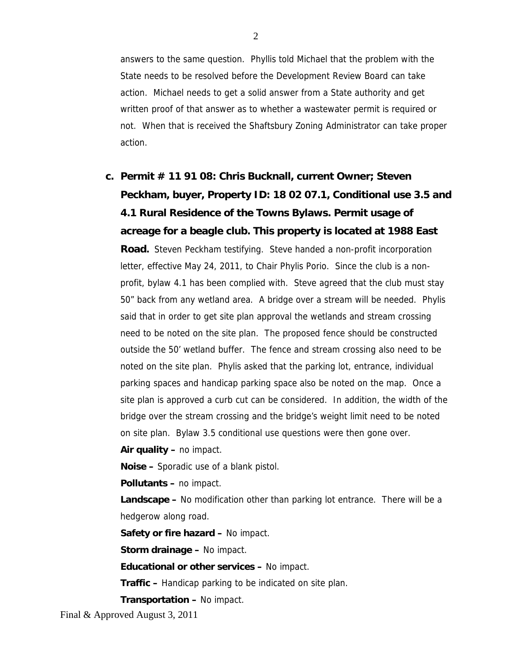answers to the same question. Phyllis told Michael that the problem with the State needs to be resolved before the Development Review Board can take action. Michael needs to get a solid answer from a State authority and get written proof of that answer as to whether a wastewater permit is required or not. When that is received the Shaftsbury Zoning Administrator can take proper action.

## **c. Permit # 11 91 08: Chris Bucknall, current Owner; Steven Peckham, buyer, Property ID: 18 02 07.1, Conditional use 3.5 and 4.1 Rural Residence of the Towns Bylaws. Permit usage of acreage for a beagle club. This property is located at 1988 East Road.** Steven Peckham testifying. Steve handed a non-profit incorporation letter, effective May 24, 2011, to Chair Phylis Porio. Since the club is a nonprofit, bylaw 4.1 has been complied with. Steve agreed that the club must stay 50" back from any wetland area. A bridge over a stream will be needed. Phylis said that in order to get site plan approval the wetlands and stream crossing need to be noted on the site plan. The proposed fence should be constructed outside the 50' wetland buffer. The fence and stream crossing also need to be noted on the site plan. Phylis asked that the parking lot, entrance, individual parking spaces and handicap parking space also be noted on the map. Once a site plan is approved a curb cut can be considered. In addition, the width of the bridge over the stream crossing and the bridge's weight limit need to be noted on site plan. Bylaw 3.5 conditional use questions were then gone over.

**Air quality –** no impact.

**Noise –** Sporadic use of a blank pistol.

**Pollutants –** no impact.

**Landscape –** No modification other than parking lot entrance. There will be a hedgerow along road.

**Safety or fire hazard –** No impact.

**Storm drainage –** No impact.

**Educational or other services –** No impact.

**Traffic –** Handicap parking to be indicated on site plan.

**Transportation –** No impact.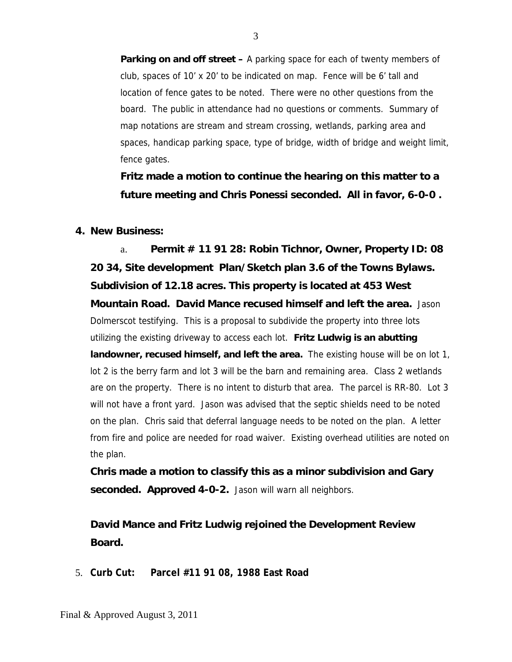**Parking on and off street –** A parking space for each of twenty members of club, spaces of 10' x 20' to be indicated on map. Fence will be 6' tall and location of fence gates to be noted. There were no other questions from the board. The public in attendance had no questions or comments. Summary of map notations are stream and stream crossing, wetlands, parking area and spaces, handicap parking space, type of bridge, width of bridge and weight limit, fence gates.

**Fritz made a motion to continue the hearing on this matter to a future meeting and Chris Ponessi seconded. All in favor, 6-0-0 .**

## **4. New Business:**

a. **Permit # 11 91 28: Robin Tichnor, Owner, Property ID: 08 20 34, Site development Plan/Sketch plan 3.6 of the Towns Bylaws. Subdivision of 12.18 acres. This property is located at 453 West Mountain Road. David Mance recused himself and left the area.** Jason Dolmerscot testifying. This is a proposal to subdivide the property into three lots utilizing the existing driveway to access each lot. **Fritz Ludwig is an abutting landowner, recused himself, and left the area.** The existing house will be on lot 1, lot 2 is the berry farm and lot 3 will be the barn and remaining area. Class 2 wetlands are on the property. There is no intent to disturb that area. The parcel is RR-80. Lot 3 will not have a front yard. Jason was advised that the septic shields need to be noted on the plan. Chris said that deferral language needs to be noted on the plan. A letter from fire and police are needed for road waiver. Existing overhead utilities are noted on the plan.

**Chris made a motion to classify this as a minor subdivision and Gary seconded. Approved 4-0-2.** Jason will warn all neighbors.

**David Mance and Fritz Ludwig rejoined the Development Review Board.**

5. **Curb Cut: Parcel #11 91 08, 1988 East Road**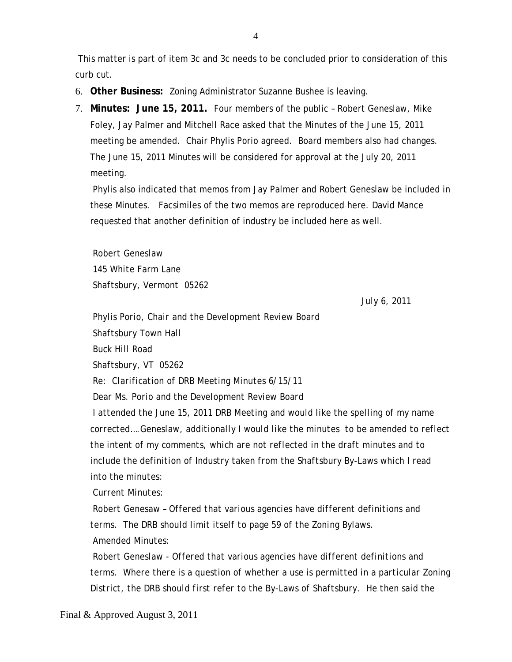This matter is part of item 3c and 3c needs to be concluded prior to consideration of this curb cut.

- 6. **Other Business:** Zoning Administrator Suzanne Bushee is leaving.
- 7. **Minutes: June 15, 2011.** Four members of the public Robert Geneslaw, Mike Foley, Jay Palmer and Mitchell Race asked that the Minutes of the June 15, 2011 meeting be amended. Chair Phylis Porio agreed. Board members also had changes. The June 15, 2011 Minutes will be considered for approval at the July 20, 2011 meeting.

Phylis also indicated that memos from Jay Palmer and Robert Geneslaw be included in these Minutes. Facsimiles of the two memos are reproduced here. David Mance requested that another definition of industry be included here as well.

*Robert Geneslaw 145 White Farm Lane Shaftsbury, Vermont 05262*

*July 6, 2011*

*Phylis Porio, Chair and the Development Review Board Shaftsbury Town Hall Buck Hill Road Shaftsbury, VT 05262 Re: Clarification of DRB Meeting Minutes 6/15/11 Dear Ms. Porio and the Development Review Board I attended the June 15, 2011 DRB Meeting and would like the spelling of my name*

*corrected….Geneslaw, additionally I would like the minutes to be amended to reflect the intent of my comments, which are not reflected in the draft minutes and to include the definition of Industry taken from the Shaftsbury By-Laws which I read into the minutes:*

*Current Minutes:*

*Robert Genesaw – Offered that various agencies have different definitions and terms. The DRB should limit itself to page 59 of the Zoning Bylaws. Amended Minutes:*

*Robert Geneslaw - Offered that various agencies have different definitions and terms. Where there is a question of whether a use is permitted in a particular Zoning District, the DRB should first refer to the By-Laws of Shaftsbury. He then said the*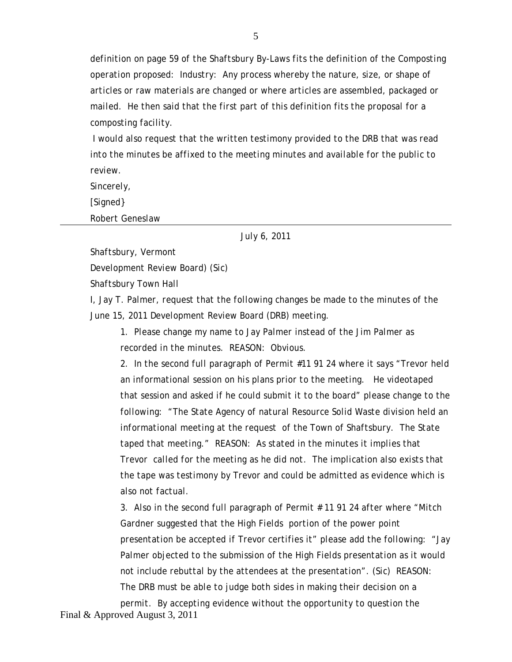*definition on page 59 of the Shaftsbury By-Laws fits the definition of the Composting operation proposed: Industry: Any process whereby the nature, size, or shape of articles or raw materials are changed or where articles are assembled, packaged or mailed. He then said that the first part of this definition fits the proposal for a composting facility.*

*I would also request that the written testimony provided to the DRB that was read into the minutes be affixed to the meeting minutes and available for the public to review.*

*Sincerely,*

*[Signed}*

*Robert Geneslaw*

*July 6, 2011*

*Shaftsbury, Vermont*

*Development Review Board) (Sic)*

*Shaftsbury Town Hall*

*I, Jay T. Palmer, request that the following changes be made to the minutes of the June 15, 2011 Development Review Board (DRB) meeting.*

*1. Please change my name to Jay Palmer instead of the Jim Palmer as recorded in the minutes. REASON: Obvious.*

*2. In the second full paragraph of Permit #11 91 24 where it says "Trevor held an informational session on his plans prior to the meeting. He videotaped that session and asked if he could submit it to the board" please change to the following: "The State Agency of natural Resource Solid Waste division held an informational meeting at the request of the Town of Shaftsbury. The State taped that meeting." REASON: As stated in the minutes it implies that Trevor called for the meeting as he did not. The implication also exists that the tape was testimony by Trevor and could be admitted as evidence which is also not factual.*

*3. Also in the second full paragraph of Permit # 11 91 24 after where "Mitch Gardner suggested that the High Fields portion of the power point presentation be accepted if Trevor certifies it" please add the following: "Jay Palmer objected to the submission of the High Fields presentation as it would not include rebuttal by the attendees at the presentation". (Sic) REASON: The DRB must be able to judge both sides in making their decision on a permit. By accepting evidence without the opportunity to question the*